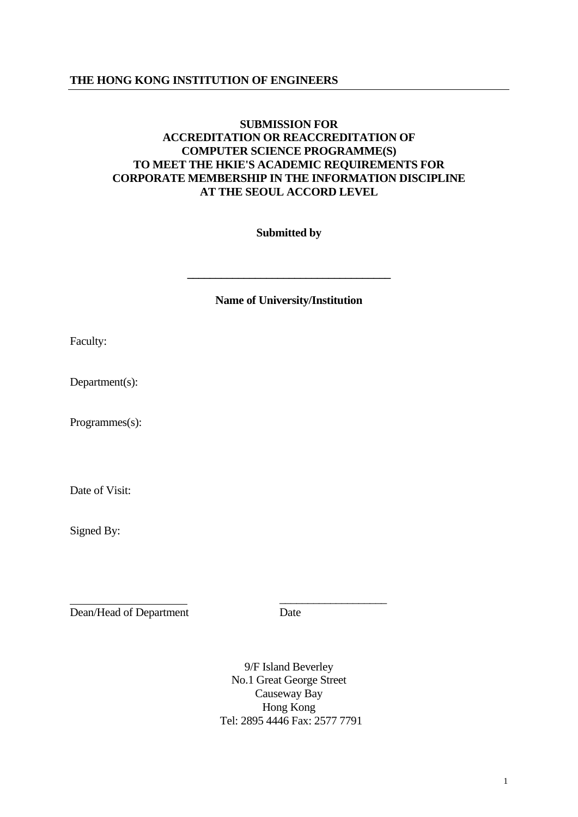# **THE HONG KONG INSTITUTION OF ENGINEERS**

# **SUBMISSION FOR ACCREDITATION OR REACCREDITATION OF COMPUTER SCIENCE PROGRAMME(S) TO MEET THE HKIE'S ACADEMIC REQUIREMENTS FOR CORPORATE MEMBERSHIP IN THE INFORMATION DISCIPLINE AT THE SEOUL ACCORD LEVEL**

 **Submitted by** 

 **Name of University/Institution** 

**\_\_\_\_\_\_\_\_\_\_\_\_\_\_\_\_\_\_\_\_\_\_\_\_\_\_\_\_\_\_\_\_\_\_\_\_** 

Faculty:

Department(s):

Programmes(s):

Date of Visit:

Signed By:

Dean/Head of Department Date

\_\_\_\_\_\_\_\_\_\_\_\_\_\_\_\_\_\_\_

9/F Island Beverley No.1 Great George Street Causeway Bay Hong Kong Tel: 2895 4446 Fax: 2577 7791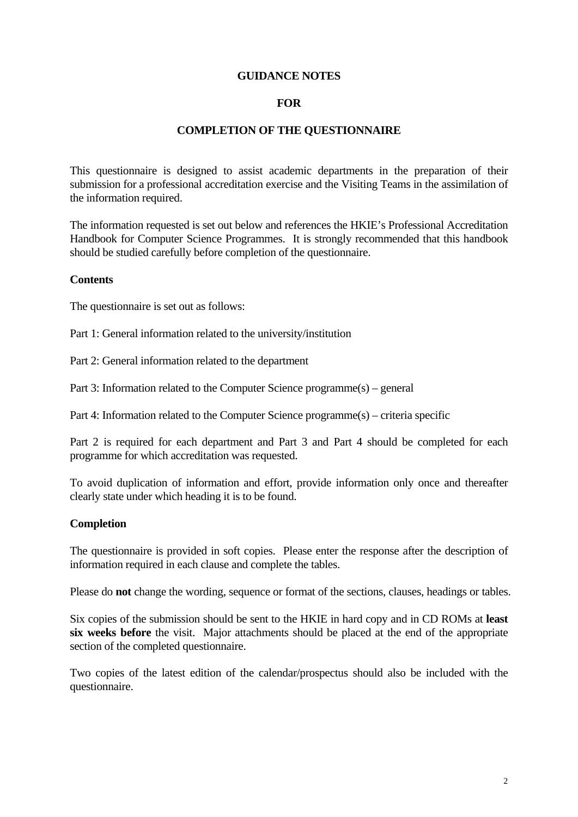## **GUIDANCE NOTES**

## **FOR**

## **COMPLETION OF THE QUESTIONNAIRE**

This questionnaire is designed to assist academic departments in the preparation of their submission for a professional accreditation exercise and the Visiting Teams in the assimilation of the information required.

The information requested is set out below and references the HKIE's Professional Accreditation Handbook for Computer Science Programmes. It is strongly recommended that this handbook should be studied carefully before completion of the questionnaire.

#### **Contents**

The questionnaire is set out as follows:

Part 1: General information related to the university/institution

Part 2: General information related to the department

Part 3: Information related to the Computer Science programme(s) – general

Part 4: Information related to the Computer Science programme(s) – criteria specific

Part 2 is required for each department and Part 3 and Part 4 should be completed for each programme for which accreditation was requested.

To avoid duplication of information and effort, provide information only once and thereafter clearly state under which heading it is to be found.

## **Completion**

The questionnaire is provided in soft copies. Please enter the response after the description of information required in each clause and complete the tables.

Please do **not** change the wording, sequence or format of the sections, clauses, headings or tables.

Six copies of the submission should be sent to the HKIE in hard copy and in CD ROMs at **least six weeks before** the visit. Major attachments should be placed at the end of the appropriate section of the completed questionnaire.

Two copies of the latest edition of the calendar/prospectus should also be included with the questionnaire.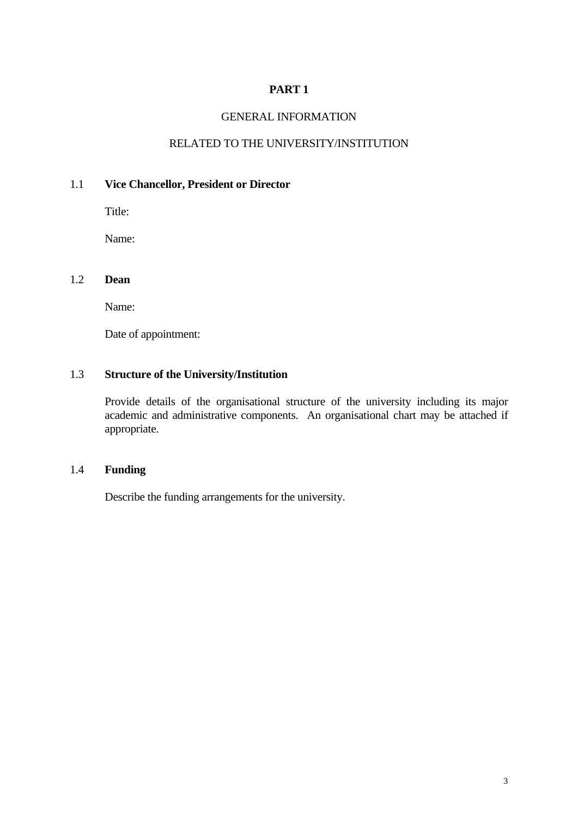# GENERAL INFORMATION

# RELATED TO THE UNIVERSITY/INSTITUTION

# 1.1 **Vice Chancellor, President or Director**

Title:

Name:

## 1.2 **Dean**

Name:

Date of appointment:

## 1.3 **Structure of the University/Institution**

 Provide details of the organisational structure of the university including its major academic and administrative components. An organisational chart may be attached if appropriate.

# 1.4 **Funding**

Describe the funding arrangements for the university.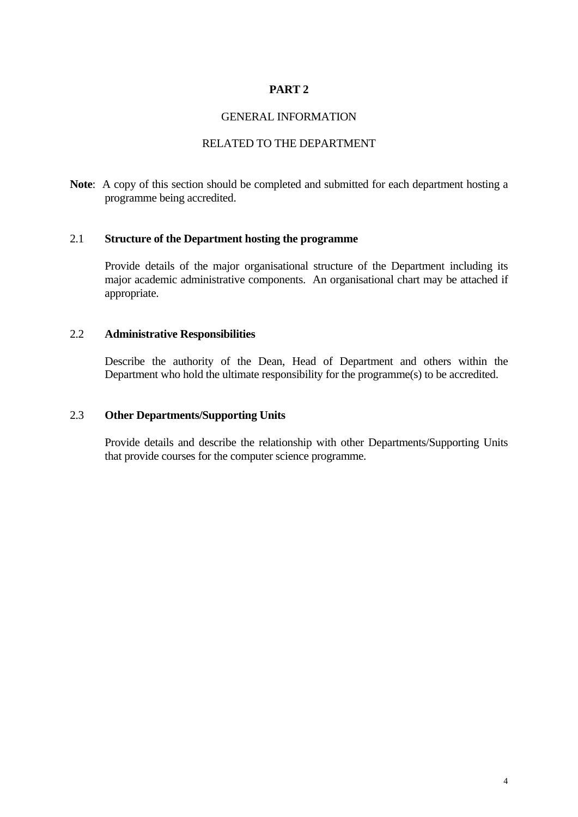## GENERAL INFORMATION

# RELATED TO THE DEPARTMENT

**Note**: A copy of this section should be completed and submitted for each department hosting a programme being accredited.

## 2.1 **Structure of the Department hosting the programme**

 Provide details of the major organisational structure of the Department including its major academic administrative components. An organisational chart may be attached if appropriate.

## 2.2 **Administrative Responsibilities**

 Describe the authority of the Dean, Head of Department and others within the Department who hold the ultimate responsibility for the programme(s) to be accredited.

## 2.3 **Other Departments/Supporting Units**

 Provide details and describe the relationship with other Departments/Supporting Units that provide courses for the computer science programme.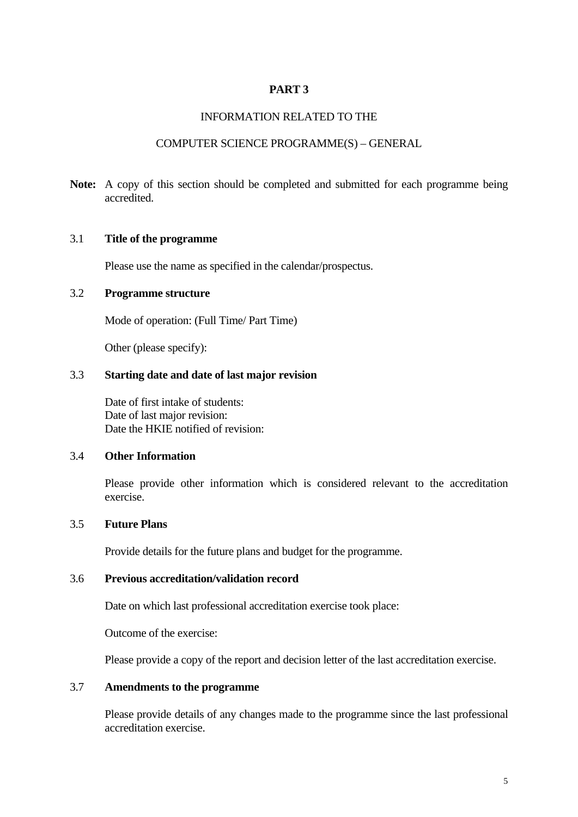## INFORMATION RELATED TO THE

#### COMPUTER SCIENCE PROGRAMME(S) – GENERAL

**Note:** A copy of this section should be completed and submitted for each programme being accredited.

## 3.1 **Title of the programme**

Please use the name as specified in the calendar/prospectus.

# 3.2 **Programme structure**

Mode of operation: (Full Time/ Part Time)

Other (please specify):

## 3.3 **Starting date and date of last major revision**

 Date of first intake of students: Date of last major revision: Date the HKIE notified of revision:

#### 3.4 **Other Information**

Please provide other information which is considered relevant to the accreditation exercise.

## 3.5 **Future Plans**

Provide details for the future plans and budget for the programme.

# 3.6 **Previous accreditation/validation record**

Date on which last professional accreditation exercise took place:

Outcome of the exercise:

Please provide a copy of the report and decision letter of the last accreditation exercise.

## 3.7 **Amendments to the programme**

 Please provide details of any changes made to the programme since the last professional accreditation exercise.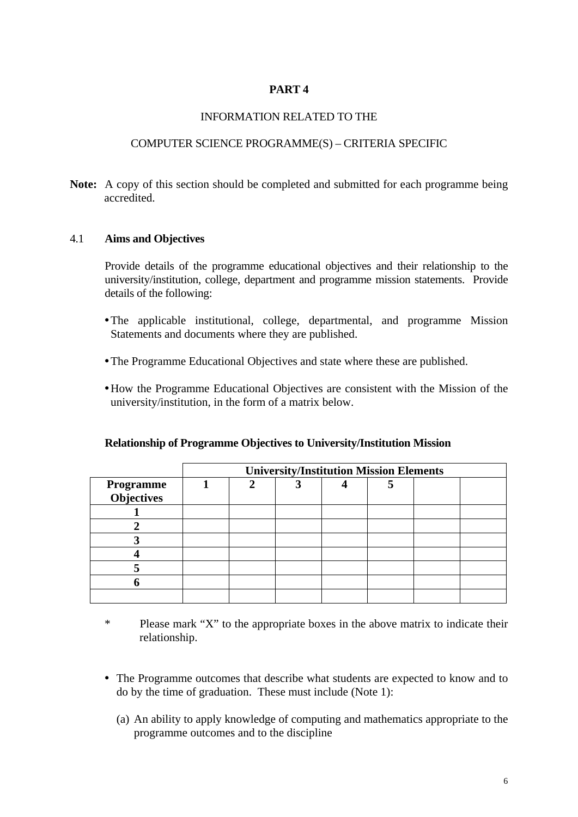## INFORMATION RELATED TO THE

## COMPUTER SCIENCE PROGRAMME(S) – CRITERIA SPECIFIC

**Note:** A copy of this section should be completed and submitted for each programme being accredited.

## 4.1 **Aims and Objectives**

 Provide details of the programme educational objectives and their relationship to the university/institution, college, department and programme mission statements. Provide details of the following:

- The applicable institutional, college, departmental, and programme Mission Statements and documents where they are published.
- The Programme Educational Objectives and state where these are published.
- How the Programme Educational Objectives are consistent with the Mission of the university/institution, in the form of a matrix below.

|                   | <b>University/Institution Mission Elements</b> |   |  |  |   |  |  |  |
|-------------------|------------------------------------------------|---|--|--|---|--|--|--|
| Programme         |                                                | ◠ |  |  | 5 |  |  |  |
| <b>Objectives</b> |                                                |   |  |  |   |  |  |  |
|                   |                                                |   |  |  |   |  |  |  |
|                   |                                                |   |  |  |   |  |  |  |
|                   |                                                |   |  |  |   |  |  |  |
|                   |                                                |   |  |  |   |  |  |  |
|                   |                                                |   |  |  |   |  |  |  |
|                   |                                                |   |  |  |   |  |  |  |
|                   |                                                |   |  |  |   |  |  |  |

## **Relationship of Programme Objectives to University/Institution Mission**

- \* Please mark "X" to the appropriate boxes in the above matrix to indicate their relationship.
- The Programme outcomes that describe what students are expected to know and to do by the time of graduation. These must include (Note 1):
	- (a) An ability to apply knowledge of computing and mathematics appropriate to the programme outcomes and to the discipline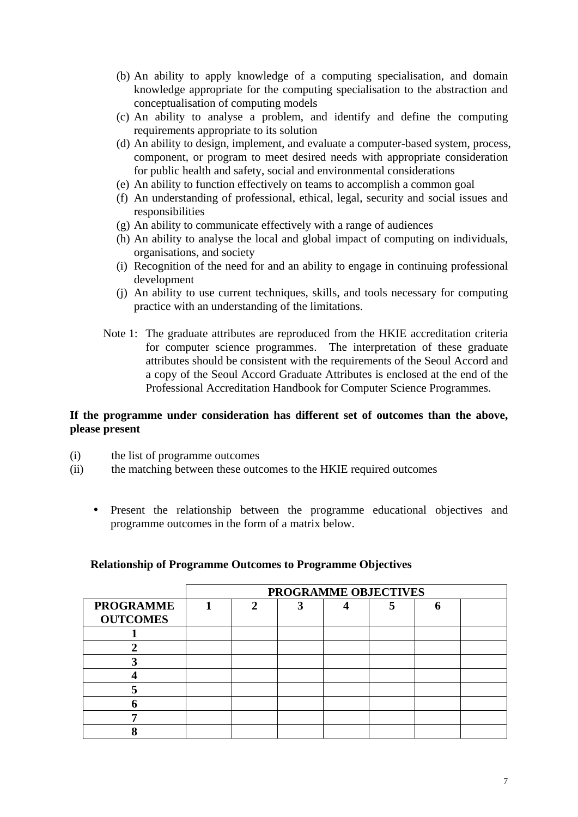- (b) An ability to apply knowledge of a computing specialisation, and domain knowledge appropriate for the computing specialisation to the abstraction and conceptualisation of computing models
- (c) An ability to analyse a problem, and identify and define the computing requirements appropriate to its solution
- (d) An ability to design, implement, and evaluate a computer-based system, process, component, or program to meet desired needs with appropriate consideration for public health and safety, social and environmental considerations
- (e) An ability to function effectively on teams to accomplish a common goal
- (f) An understanding of professional, ethical, legal, security and social issues and responsibilities
- (g) An ability to communicate effectively with a range of audiences
- (h) An ability to analyse the local and global impact of computing on individuals, organisations, and society
- (i) Recognition of the need for and an ability to engage in continuing professional development
- (j) An ability to use current techniques, skills, and tools necessary for computing practice with an understanding of the limitations.
- Note 1: The graduate attributes are reproduced from the HKIE accreditation criteria for computer science programmes. The interpretation of these graduate attributes should be consistent with the requirements of the Seoul Accord and a copy of the Seoul Accord Graduate Attributes is enclosed at the end of the Professional Accreditation Handbook for Computer Science Programmes.

## **If the programme under consideration has different set of outcomes than the above, please present**

- (i) the list of programme outcomes
- (ii) the matching between these outcomes to the HKIE required outcomes
	- Present the relationship between the programme educational objectives and programme outcomes in the form of a matrix below.

| <b>Relationship of Programme Outcomes to Programme Objectives</b> |  |  |
|-------------------------------------------------------------------|--|--|
|                                                                   |  |  |

|                                     | PROGRAMME OBJECTIVES |   |   |  |  |  |  |  |
|-------------------------------------|----------------------|---|---|--|--|--|--|--|
| <b>PROGRAMME</b><br><b>OUTCOMES</b> |                      | 2 | ว |  |  |  |  |  |
|                                     |                      |   |   |  |  |  |  |  |
|                                     |                      |   |   |  |  |  |  |  |
|                                     |                      |   |   |  |  |  |  |  |
|                                     |                      |   |   |  |  |  |  |  |
|                                     |                      |   |   |  |  |  |  |  |
|                                     |                      |   |   |  |  |  |  |  |
|                                     |                      |   |   |  |  |  |  |  |
|                                     |                      |   |   |  |  |  |  |  |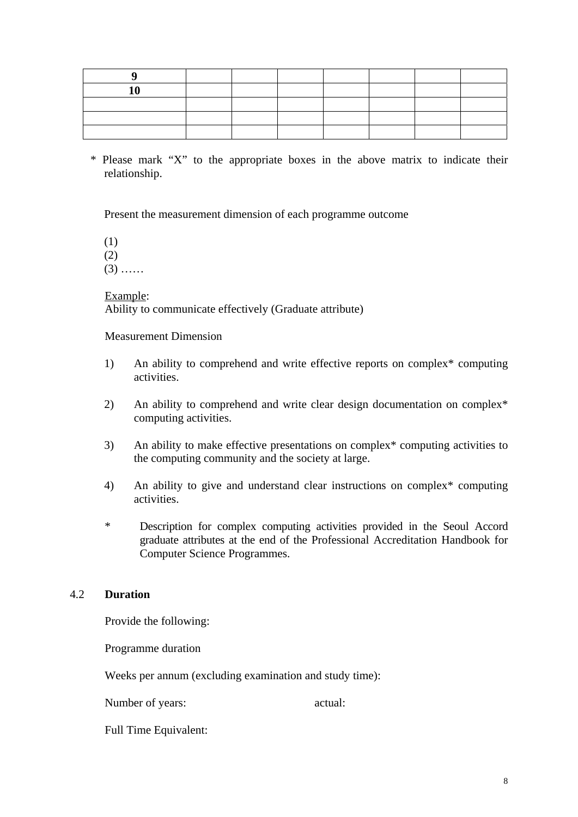\* Please mark "X" to the appropriate boxes in the above matrix to indicate their relationship.

Present the measurement dimension of each programme outcome

(1) (2)

 $(3)$  ……

#### Example:

Ability to communicate effectively (Graduate attribute)

Measurement Dimension

- 1) An ability to comprehend and write effective reports on complex\* computing activities.
- 2) An ability to comprehend and write clear design documentation on complex\* computing activities.
- 3) An ability to make effective presentations on complex\* computing activities to the computing community and the society at large.
- 4) An ability to give and understand clear instructions on complex\* computing activities.
- \* Description for complex computing activities provided in the Seoul Accord graduate attributes at the end of the Professional Accreditation Handbook for Computer Science Programmes.

## 4.2 **Duration**

Provide the following:

Programme duration

Weeks per annum (excluding examination and study time):

Number of years:  $\alpha$  actual:

Full Time Equivalent: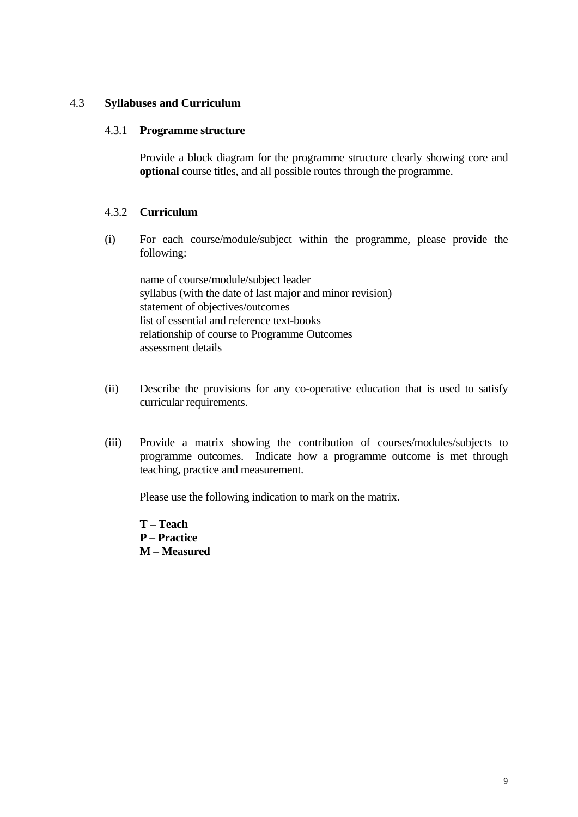## 4.3 **Syllabuses and Curriculum**

### 4.3.1 **Programme structure**

Provide a block diagram for the programme structure clearly showing core and **optional** course titles, and all possible routes through the programme.

## 4.3.2 **Curriculum**

(i) For each course/module/subject within the programme, please provide the following:

 name of course/module/subject leader syllabus (with the date of last major and minor revision) statement of objectives/outcomes list of essential and reference text-books relationship of course to Programme Outcomes assessment details

- (ii) Describe the provisions for any co-operative education that is used to satisfy curricular requirements.
- (iii) Provide a matrix showing the contribution of courses/modules/subjects to programme outcomes. Indicate how a programme outcome is met through teaching, practice and measurement.

Please use the following indication to mark on the matrix.

**T – Teach** 

- **P Practice**
- **M Measured**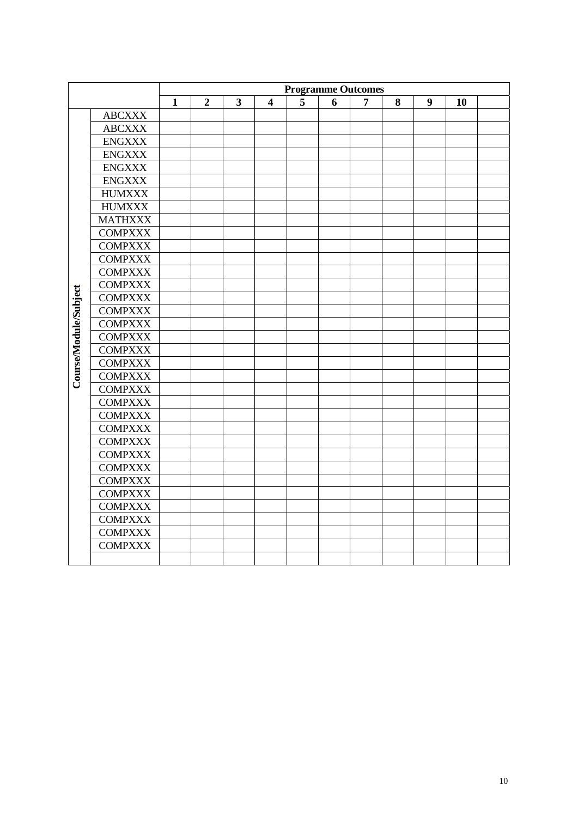|                       |                | <b>Programme Outcomes</b> |                |                         |                         |   |   |   |   |                  |    |  |
|-----------------------|----------------|---------------------------|----------------|-------------------------|-------------------------|---|---|---|---|------------------|----|--|
|                       |                | $\mathbf{1}$              | $\overline{2}$ | $\overline{\mathbf{3}}$ | $\overline{\mathbf{4}}$ | 5 | 6 | 7 | 8 | $\boldsymbol{9}$ | 10 |  |
|                       | ${\bf ABCXXX}$ |                           |                |                         |                         |   |   |   |   |                  |    |  |
|                       | <b>ABCXXX</b>  |                           |                |                         |                         |   |   |   |   |                  |    |  |
|                       | <b>ENGXXX</b>  |                           |                |                         |                         |   |   |   |   |                  |    |  |
|                       | <b>ENGXXX</b>  |                           |                |                         |                         |   |   |   |   |                  |    |  |
|                       | <b>ENGXXX</b>  |                           |                |                         |                         |   |   |   |   |                  |    |  |
|                       | <b>ENGXXX</b>  |                           |                |                         |                         |   |   |   |   |                  |    |  |
|                       | <b>HUMXXX</b>  |                           |                |                         |                         |   |   |   |   |                  |    |  |
|                       | <b>HUMXXX</b>  |                           |                |                         |                         |   |   |   |   |                  |    |  |
|                       | <b>MATHXXX</b> |                           |                |                         |                         |   |   |   |   |                  |    |  |
|                       | <b>COMPXXX</b> |                           |                |                         |                         |   |   |   |   |                  |    |  |
|                       | <b>COMPXXX</b> |                           |                |                         |                         |   |   |   |   |                  |    |  |
|                       | <b>COMPXXX</b> |                           |                |                         |                         |   |   |   |   |                  |    |  |
|                       | <b>COMPXXX</b> |                           |                |                         |                         |   |   |   |   |                  |    |  |
|                       | <b>COMPXXX</b> |                           |                |                         |                         |   |   |   |   |                  |    |  |
|                       | <b>COMPXXX</b> |                           |                |                         |                         |   |   |   |   |                  |    |  |
|                       | <b>COMPXXX</b> |                           |                |                         |                         |   |   |   |   |                  |    |  |
|                       | <b>COMPXXX</b> |                           |                |                         |                         |   |   |   |   |                  |    |  |
| Course/Module/Subject | <b>COMPXXX</b> |                           |                |                         |                         |   |   |   |   |                  |    |  |
|                       | <b>COMPXXX</b> |                           |                |                         |                         |   |   |   |   |                  |    |  |
|                       | <b>COMPXXX</b> |                           |                |                         |                         |   |   |   |   |                  |    |  |
|                       | <b>COMPXXX</b> |                           |                |                         |                         |   |   |   |   |                  |    |  |
|                       | <b>COMPXXX</b> |                           |                |                         |                         |   |   |   |   |                  |    |  |
|                       | <b>COMPXXX</b> |                           |                |                         |                         |   |   |   |   |                  |    |  |
|                       | <b>COMPXXX</b> |                           |                |                         |                         |   |   |   |   |                  |    |  |
|                       | <b>COMPXXX</b> |                           |                |                         |                         |   |   |   |   |                  |    |  |
|                       | <b>COMPXXX</b> |                           |                |                         |                         |   |   |   |   |                  |    |  |
|                       | <b>COMPXXX</b> |                           |                |                         |                         |   |   |   |   |                  |    |  |
|                       | <b>COMPXXX</b> |                           |                |                         |                         |   |   |   |   |                  |    |  |
|                       | <b>COMPXXX</b> |                           |                |                         |                         |   |   |   |   |                  |    |  |
|                       | <b>COMPXXX</b> |                           |                |                         |                         |   |   |   |   |                  |    |  |
|                       | <b>COMPXXX</b> |                           |                |                         |                         |   |   |   |   |                  |    |  |
|                       | <b>COMPXXX</b> |                           |                |                         |                         |   |   |   |   |                  |    |  |
|                       | <b>COMPXXX</b> |                           |                |                         |                         |   |   |   |   |                  |    |  |
|                       | <b>COMPXXX</b> |                           |                |                         |                         |   |   |   |   |                  |    |  |
|                       |                |                           |                |                         |                         |   |   |   |   |                  |    |  |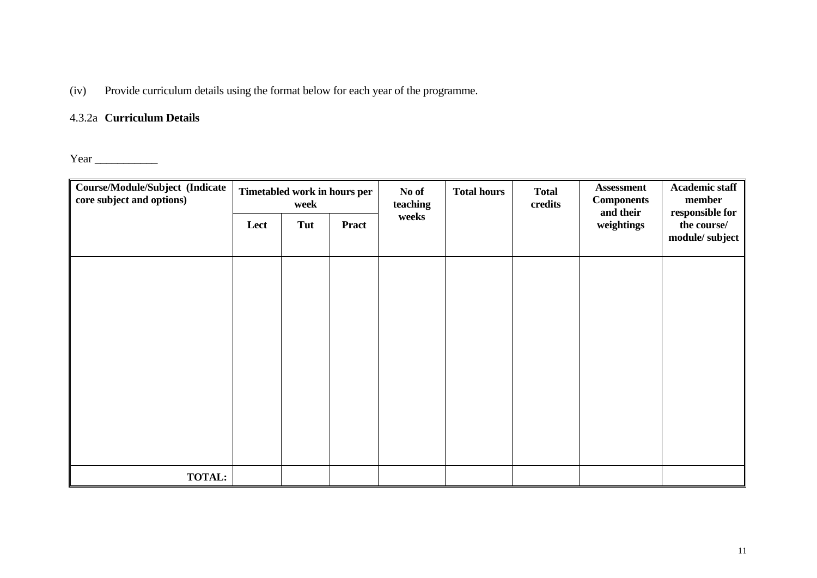(iv) Provide curriculum details using the format below for each year of the programme.

# 4.3.2a **Curriculum Details**

Year \_\_\_\_\_\_\_\_\_\_\_

| <b>Course/Module/Subject (Indicate</b><br>core subject and options) | Timetabled work in hours per<br>No of<br>week<br>teaching |     | <b>Total hours</b> | <b>Total</b><br>credits | <b>Assessment</b><br><b>Components</b><br>and their | <b>Academic staff</b><br>member<br>responsible for |            |                               |
|---------------------------------------------------------------------|-----------------------------------------------------------|-----|--------------------|-------------------------|-----------------------------------------------------|----------------------------------------------------|------------|-------------------------------|
|                                                                     | Lect                                                      | Tut | <b>Pract</b>       | weeks                   |                                                     |                                                    | weightings | the course/<br>module/subject |
|                                                                     |                                                           |     |                    |                         |                                                     |                                                    |            |                               |
|                                                                     |                                                           |     |                    |                         |                                                     |                                                    |            |                               |
|                                                                     |                                                           |     |                    |                         |                                                     |                                                    |            |                               |
|                                                                     |                                                           |     |                    |                         |                                                     |                                                    |            |                               |
|                                                                     |                                                           |     |                    |                         |                                                     |                                                    |            |                               |
|                                                                     |                                                           |     |                    |                         |                                                     |                                                    |            |                               |
| <b>TOTAL:</b>                                                       |                                                           |     |                    |                         |                                                     |                                                    |            |                               |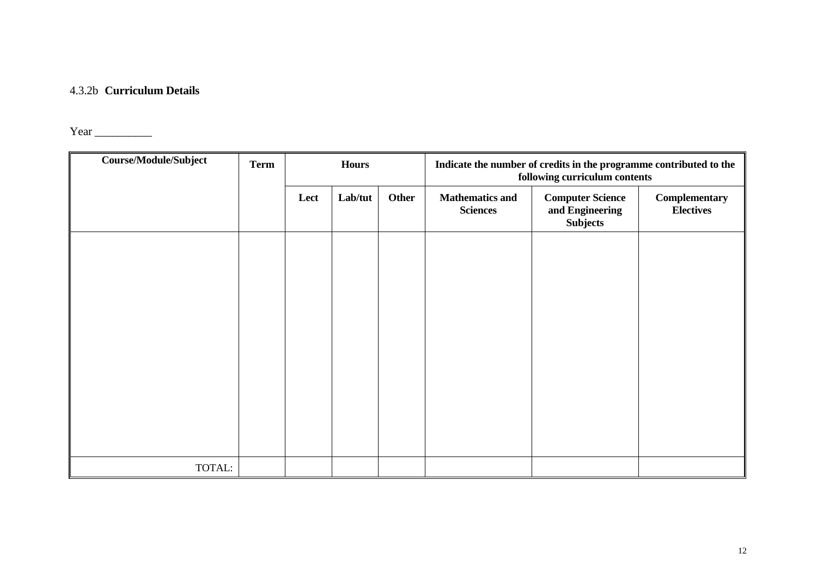#### 4.3.2b **Curriculum Details**

Year \_\_\_\_\_\_\_\_\_\_

| <b>Course/Module/Subject</b> | <b>Term</b> |      | <b>Hours</b> |       | Indicate the number of credits in the programme contributed to the<br>following curriculum contents |                                                               |                                   |  |  |
|------------------------------|-------------|------|--------------|-------|-----------------------------------------------------------------------------------------------------|---------------------------------------------------------------|-----------------------------------|--|--|
|                              |             | Lect | Lab/tut      | Other | <b>Mathematics and</b><br><b>Sciences</b>                                                           | <b>Computer Science</b><br>and Engineering<br><b>Subjects</b> | Complementary<br><b>Electives</b> |  |  |
|                              |             |      |              |       |                                                                                                     |                                                               |                                   |  |  |
|                              |             |      |              |       |                                                                                                     |                                                               |                                   |  |  |
|                              |             |      |              |       |                                                                                                     |                                                               |                                   |  |  |
|                              |             |      |              |       |                                                                                                     |                                                               |                                   |  |  |
|                              |             |      |              |       |                                                                                                     |                                                               |                                   |  |  |
|                              |             |      |              |       |                                                                                                     |                                                               |                                   |  |  |
| TOTAL:                       |             |      |              |       |                                                                                                     |                                                               |                                   |  |  |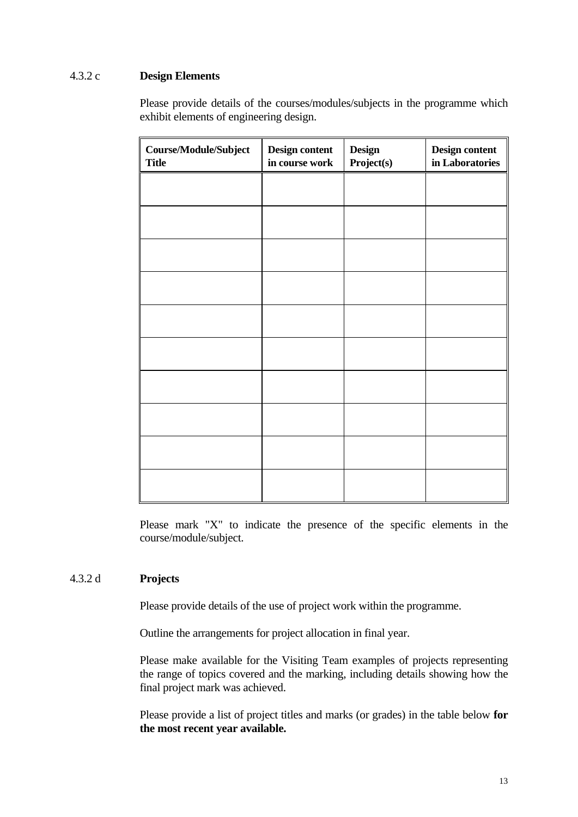# 4.3.2 c **Design Elements**

 Please provide details of the courses/modules/subjects in the programme which exhibit elements of engineering design.

| Course/Module/Subject<br><b>Title</b> | Design content<br>in course work | <b>Design</b><br>Project(s) | Design content<br>in Laboratories |
|---------------------------------------|----------------------------------|-----------------------------|-----------------------------------|
|                                       |                                  |                             |                                   |
|                                       |                                  |                             |                                   |
|                                       |                                  |                             |                                   |
|                                       |                                  |                             |                                   |
|                                       |                                  |                             |                                   |
|                                       |                                  |                             |                                   |
|                                       |                                  |                             |                                   |
|                                       |                                  |                             |                                   |
|                                       |                                  |                             |                                   |
|                                       |                                  |                             |                                   |

Please mark "X" to indicate the presence of the specific elements in the course/module/subject.

# 4.3.2 d **Projects**

Please provide details of the use of project work within the programme.

Outline the arrangements for project allocation in final year.

 Please make available for the Visiting Team examples of projects representing the range of topics covered and the marking, including details showing how the final project mark was achieved.

 Please provide a list of project titles and marks (or grades) in the table below **for the most recent year available.**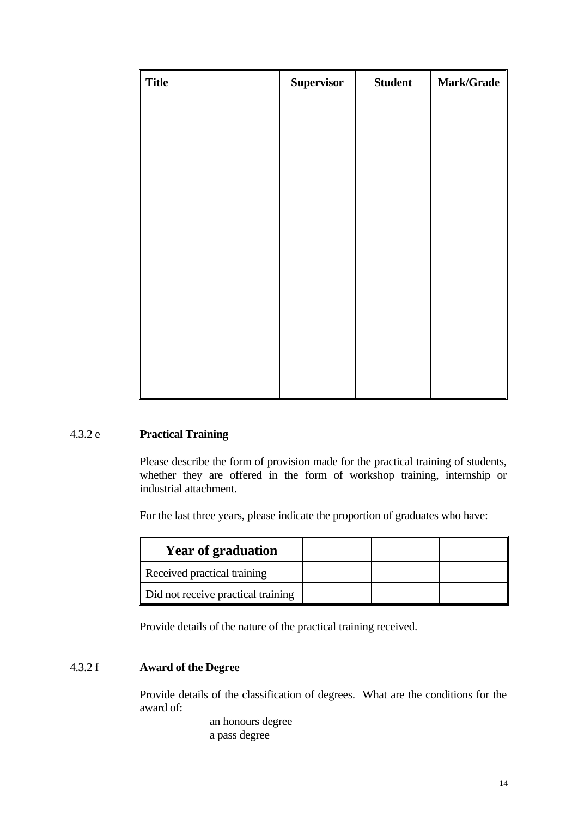| <b>Title</b> | <b>Supervisor</b> | <b>Student</b> | Mark/Grade |
|--------------|-------------------|----------------|------------|
|              |                   |                |            |
|              |                   |                |            |
|              |                   |                |            |
|              |                   |                |            |
|              |                   |                |            |
|              |                   |                |            |
|              |                   |                |            |
|              |                   |                |            |
|              |                   |                |            |
|              |                   |                |            |
|              |                   |                |            |
|              |                   |                |            |
|              |                   |                |            |
|              |                   |                |            |

# 4.3.2 e **Practical Training**

 Please describe the form of provision made for the practical training of students, whether they are offered in the form of workshop training, internship or industrial attachment.

For the last three years, please indicate the proportion of graduates who have:

| <b>Year of graduation</b>          |  |  |
|------------------------------------|--|--|
| Received practical training        |  |  |
| Did not receive practical training |  |  |

Provide details of the nature of the practical training received.

# 4.3.2 f **Award of the Degree**

Provide details of the classification of degrees. What are the conditions for the award of:

> an honours degree a pass degree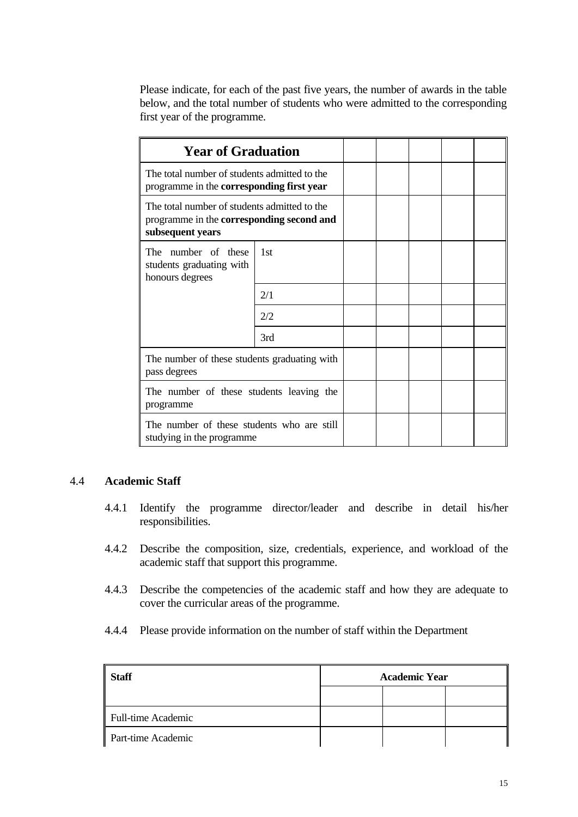Please indicate, for each of the past five years, the number of awards in the table below, and the total number of students who were admitted to the corresponding first year of the programme.

| <b>Year of Graduation</b>                                                                                     |     |  |  |  |
|---------------------------------------------------------------------------------------------------------------|-----|--|--|--|
| The total number of students admitted to the<br>programme in the corresponding first year                     |     |  |  |  |
| The total number of students admitted to the<br>programme in the corresponding second and<br>subsequent years |     |  |  |  |
| The<br>number of these<br>students graduating with<br>honours degrees                                         | 1st |  |  |  |
|                                                                                                               | 2/1 |  |  |  |
|                                                                                                               | 2/2 |  |  |  |
|                                                                                                               | 3rd |  |  |  |
| The number of these students graduating with<br>pass degrees                                                  |     |  |  |  |
| The number of these students leaving the<br>programme                                                         |     |  |  |  |
| The number of these students who are still<br>studying in the programme                                       |     |  |  |  |

# 4.4 **Academic Staff**

- 4.4.1 Identify the programme director/leader and describe in detail his/her responsibilities.
- 4.4.2 Describe the composition, size, credentials, experience, and workload of the academic staff that support this programme.
- 4.4.3 Describe the competencies of the academic staff and how they are adequate to cover the curricular areas of the programme.
- 4.4.4 Please provide information on the number of staff within the Department

| <b>Staff</b>              | <b>Academic Year</b> |  |  |  |  |
|---------------------------|----------------------|--|--|--|--|
|                           |                      |  |  |  |  |
| <b>Full-time Academic</b> |                      |  |  |  |  |
| Part-time Academic        |                      |  |  |  |  |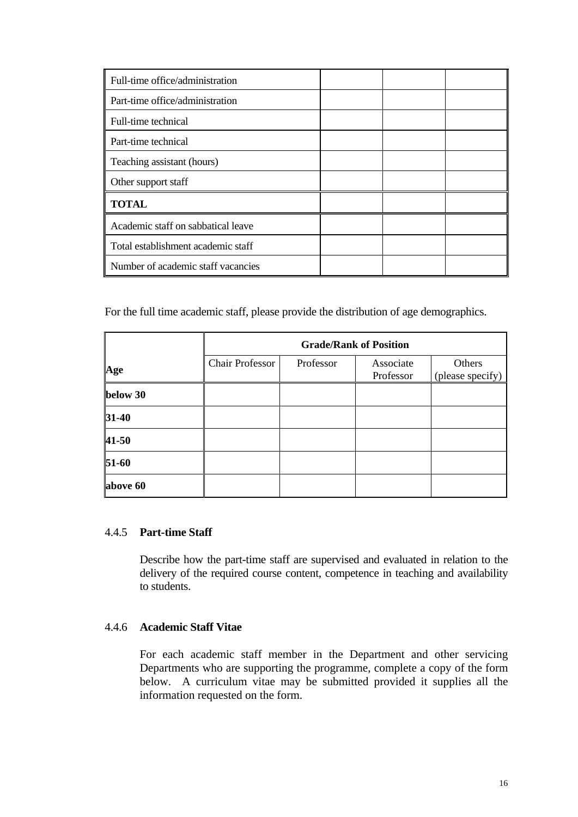| Full-time office/administration    |  |  |
|------------------------------------|--|--|
| Part-time office/administration    |  |  |
| Full-time technical                |  |  |
| Part-time technical                |  |  |
| Teaching assistant (hours)         |  |  |
| Other support staff                |  |  |
| <b>TOTAL</b>                       |  |  |
| Academic staff on sabbatical leave |  |  |
| Total establishment academic staff |  |  |
| Number of academic staff vacancies |  |  |

For the full time academic staff, please provide the distribution of age demographics.

|          | <b>Grade/Rank of Position</b> |           |                        |                            |
|----------|-------------------------------|-----------|------------------------|----------------------------|
| Age      | <b>Chair Professor</b>        | Professor | Associate<br>Professor | Others<br>(please specify) |
| below 30 |                               |           |                        |                            |
| 31-40    |                               |           |                        |                            |
| 41-50    |                               |           |                        |                            |
| 51-60    |                               |           |                        |                            |
| above 60 |                               |           |                        |                            |

## 4.4.5 **Part-time Staff**

Describe how the part-time staff are supervised and evaluated in relation to the delivery of the required course content, competence in teaching and availability to students.

## 4.4.6 **Academic Staff Vitae**

For each academic staff member in the Department and other servicing Departments who are supporting the programme, complete a copy of the form below. A curriculum vitae may be submitted provided it supplies all the information requested on the form.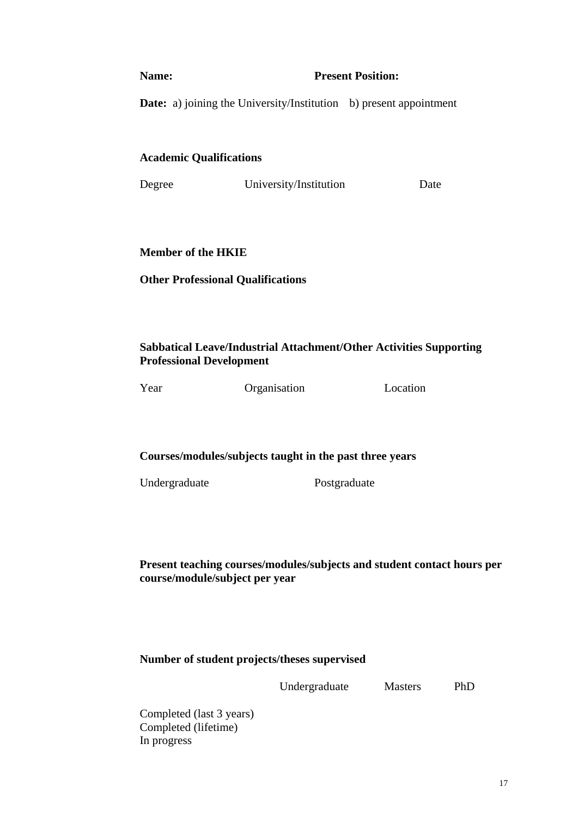#### **Name:** Present Position:

**Date:** a) joining the University/Institution b) present appointment

## **Academic Qualifications**

| Degree | University/Institution | Date |
|--------|------------------------|------|
|        |                        |      |

# **Member of the HKIE**

## **Other Professional Qualifications**

# **Sabbatical Leave/Industrial Attachment/Other Activities Supporting Professional Development**



Year Organisation Location

## **Courses/modules/subjects taught in the past three years**

Undergraduate Postgraduate

**Present teaching courses/modules/subjects and student contact hours per course/module/subject per year** 

# **Number of student projects/theses supervised**

Undergraduate Masters PhD

Completed (last 3 years) Completed (lifetime) In progress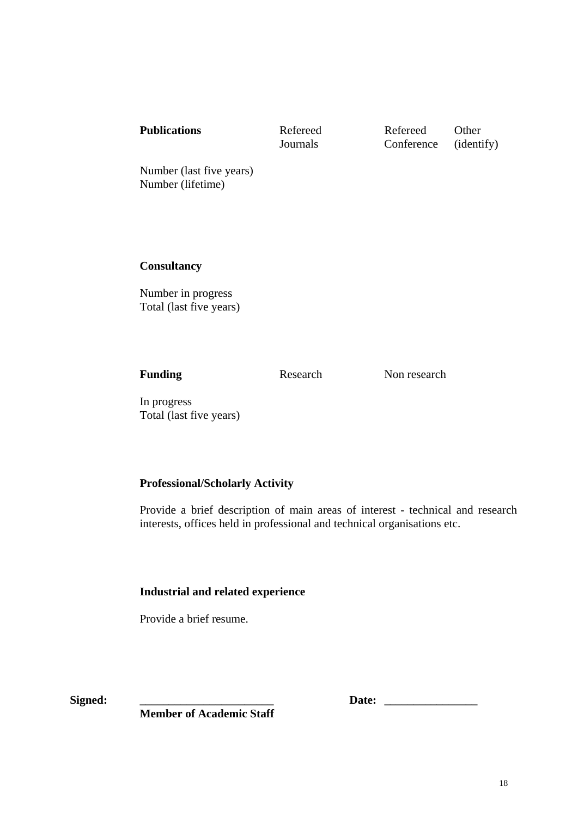**Journals** Conference (identify)

Number (last five years) Number (lifetime)

 **Consultancy** 

Number in progress Total (last five years)

**Funding** Research Non research

In progress Total (last five years)

# **Professional/Scholarly Activity**

Provide a brief description of main areas of interest - technical and research interests, offices held in professional and technical organisations etc.

# **Industrial and related experience**

Provide a brief resume.

**Signed: \_\_\_\_\_\_\_\_\_\_\_\_\_\_\_\_\_\_\_\_\_\_\_ Date: \_\_\_\_\_\_\_\_\_\_\_\_\_\_\_\_** 

 **Member of Academic Staff**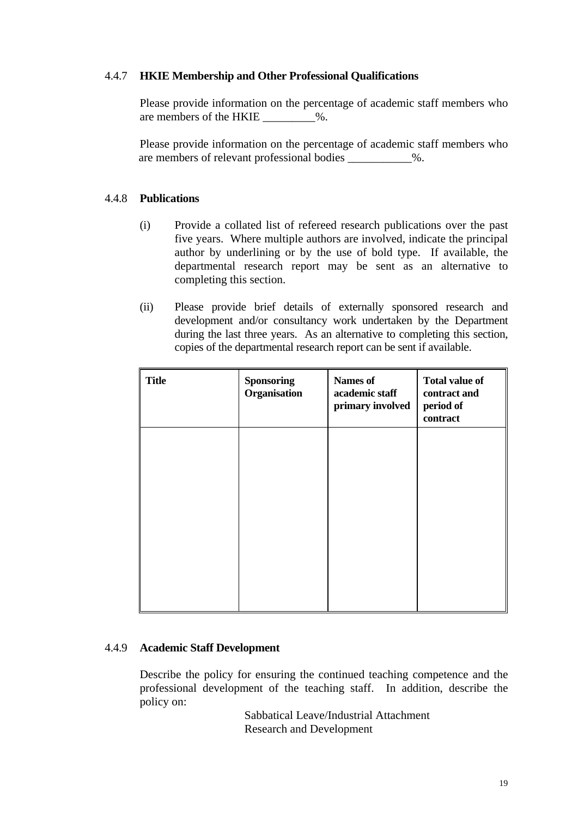## 4.4.7 **HKIE Membership and Other Professional Qualifications**

Please provide information on the percentage of academic staff members who are members of the HKIE \_\_\_\_\_\_\_\_\_%.

 Please provide information on the percentage of academic staff members who are members of relevant professional bodies  $\%$ .

## 4.4.8 **Publications**

- (i) Provide a collated list of refereed research publications over the past five years. Where multiple authors are involved, indicate the principal author by underlining or by the use of bold type. If available, the departmental research report may be sent as an alternative to completing this section.
- (ii) Please provide brief details of externally sponsored research and development and/or consultancy work undertaken by the Department during the last three years. As an alternative to completing this section, copies of the departmental research report can be sent if available.

| <b>Title</b> | <b>Sponsoring</b><br>Organisation | <b>Names of</b><br>academic staff<br>primary involved | <b>Total value of</b><br>contract and<br>period of<br>contract |
|--------------|-----------------------------------|-------------------------------------------------------|----------------------------------------------------------------|
|              |                                   |                                                       |                                                                |
|              |                                   |                                                       |                                                                |
|              |                                   |                                                       |                                                                |
|              |                                   |                                                       |                                                                |

## 4.4.9 **Academic Staff Development**

Describe the policy for ensuring the continued teaching competence and the professional development of the teaching staff. In addition, describe the policy on:

> Sabbatical Leave/Industrial Attachment Research and Development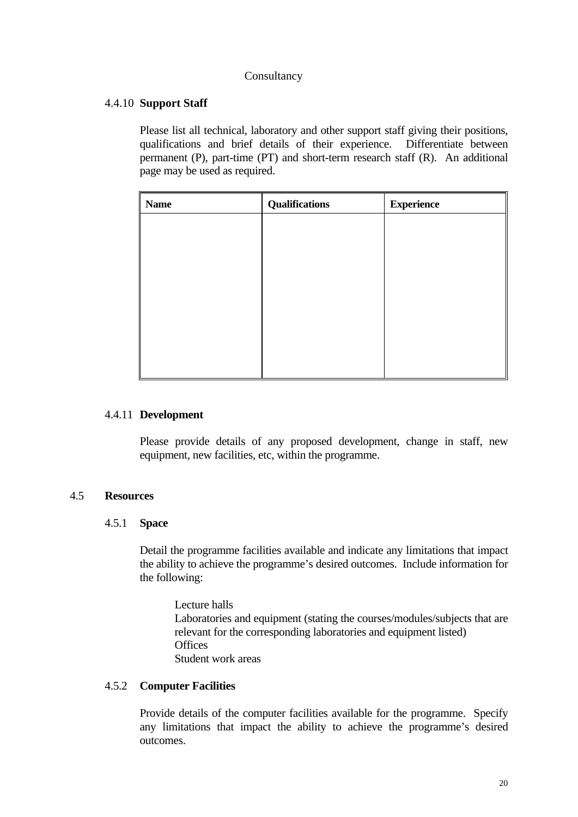## Consultancy

# 4.4.10 **Support Staff**

Please list all technical, laboratory and other support staff giving their positions, qualifications and brief details of their experience. Differentiate between permanent (P), part-time (PT) and short-term research staff (R). An additional page may be used as required.

| <b>Name</b> | <b>Qualifications</b> | <b>Experience</b> |
|-------------|-----------------------|-------------------|
|             |                       |                   |
|             |                       |                   |
|             |                       |                   |
|             |                       |                   |
|             |                       |                   |
|             |                       |                   |
|             |                       |                   |
|             |                       |                   |

# 4.4.11 **Development**

Please provide details of any proposed development, change in staff, new equipment, new facilities, etc, within the programme.

## 4.5 **Resources**

## 4.5.1 **Space**

Detail the programme facilities available and indicate any limitations that impact the ability to achieve the programme's desired outcomes. Include information for the following:

 Lecture halls Laboratories and equipment (stating the courses/modules/subjects that are relevant for the corresponding laboratories and equipment listed) **Offices** Student work areas

# 4.5.2 **Computer Facilities**

Provide details of the computer facilities available for the programme. Specify any limitations that impact the ability to achieve the programme's desired outcomes.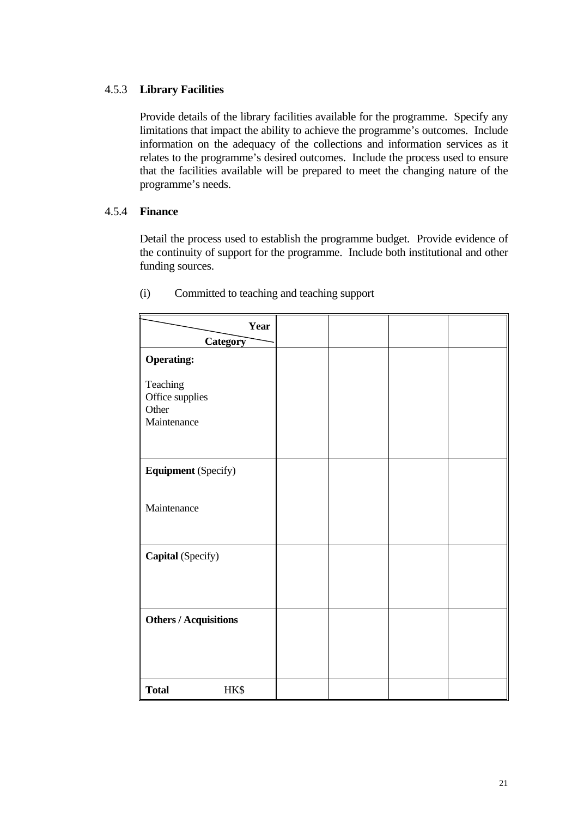# 4.5.3 **Library Facilities**

Provide details of the library facilities available for the programme. Specify any limitations that impact the ability to achieve the programme's outcomes. Include information on the adequacy of the collections and information services as it relates to the programme's desired outcomes. Include the process used to ensure that the facilities available will be prepared to meet the changing nature of the programme's needs.

## 4.5.4 **Finance**

Detail the process used to establish the programme budget. Provide evidence of the continuity of support for the programme. Include both institutional and other funding sources.

| Year                                                |  |  |
|-----------------------------------------------------|--|--|
| Category                                            |  |  |
| <b>Operating:</b>                                   |  |  |
| Teaching<br>Office supplies<br>Other<br>Maintenance |  |  |
| <b>Equipment</b> (Specify)                          |  |  |
| Maintenance                                         |  |  |
| Capital (Specify)                                   |  |  |
| <b>Others / Acquisitions</b>                        |  |  |
| HK\$<br><b>Total</b>                                |  |  |

(i) Committed to teaching and teaching support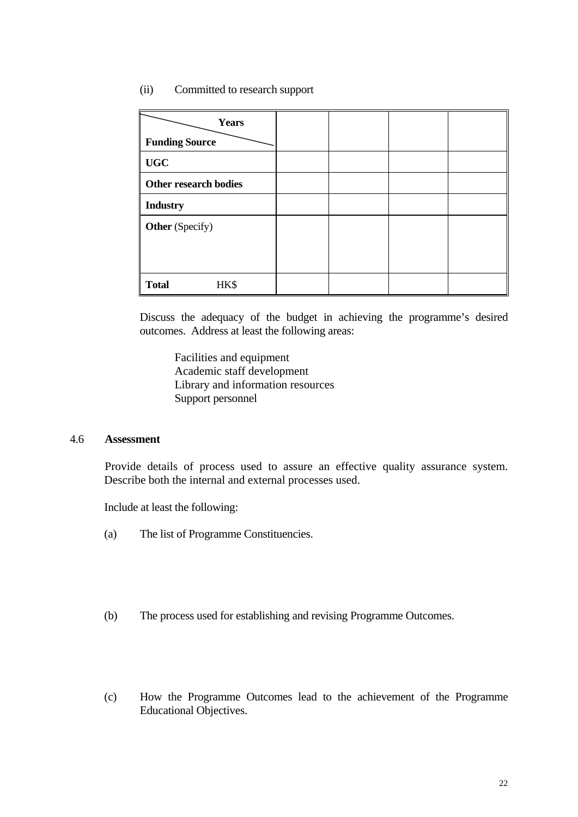## (ii) Committed to research support

| <b>Years</b><br><b>Funding Source</b> |  |  |
|---------------------------------------|--|--|
| <b>UGC</b>                            |  |  |
| <b>Other research bodies</b>          |  |  |
| <b>Industry</b>                       |  |  |
| <b>Other</b> (Specify)                |  |  |
|                                       |  |  |
|                                       |  |  |
| <b>Total</b><br>HK\$                  |  |  |

Discuss the adequacy of the budget in achieving the programme's desired outcomes. Address at least the following areas:

Facilities and equipment Academic staff development Library and information resources Support personnel

#### 4.6 **Assessment**

 Provide details of process used to assure an effective quality assurance system. Describe both the internal and external processes used.

Include at least the following:

- (a) The list of Programme Constituencies.
- (b) The process used for establishing and revising Programme Outcomes.
- (c) How the Programme Outcomes lead to the achievement of the Programme Educational Objectives.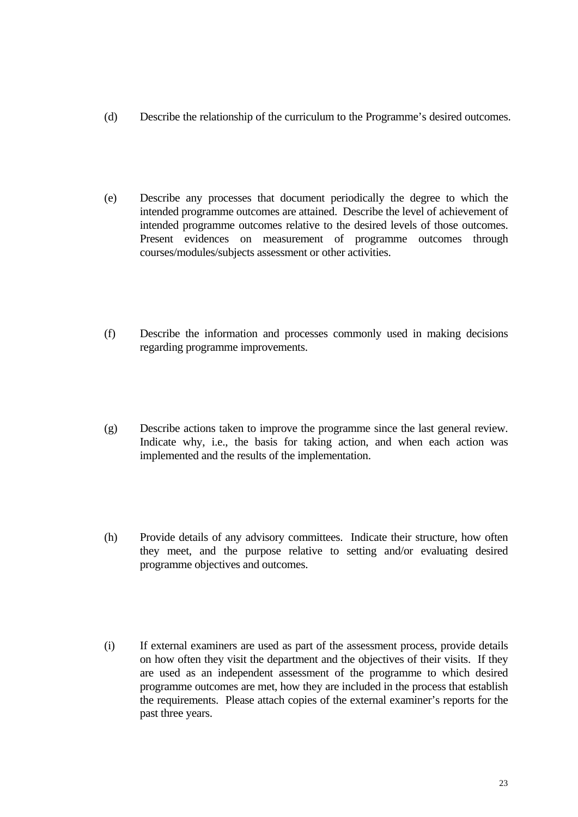- (d) Describe the relationship of the curriculum to the Programme's desired outcomes.
- (e) Describe any processes that document periodically the degree to which the intended programme outcomes are attained. Describe the level of achievement of intended programme outcomes relative to the desired levels of those outcomes. Present evidences on measurement of programme outcomes through courses/modules/subjects assessment or other activities.
- (f) Describe the information and processes commonly used in making decisions regarding programme improvements.
- (g) Describe actions taken to improve the programme since the last general review. Indicate why, i.e., the basis for taking action, and when each action was implemented and the results of the implementation.
- (h) Provide details of any advisory committees. Indicate their structure, how often they meet, and the purpose relative to setting and/or evaluating desired programme objectives and outcomes.
- (i) If external examiners are used as part of the assessment process, provide details on how often they visit the department and the objectives of their visits. If they are used as an independent assessment of the programme to which desired programme outcomes are met, how they are included in the process that establish the requirements. Please attach copies of the external examiner's reports for the past three years.